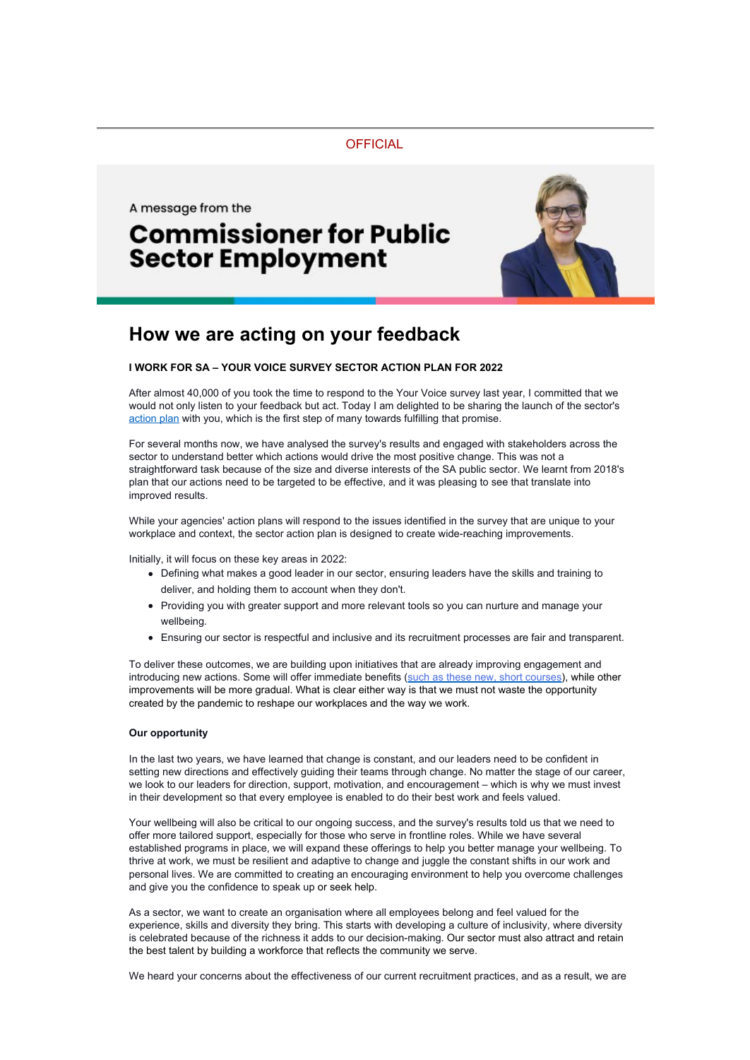**OFFICIAL** 

A message from the

## **Commissioner for Public Sector Employment**



## **How we are acting on your feedback**

## **I WORK FOR SA – YOUR VOICE SURVEY SECTOR ACTION PLAN FOR 2022**

After almost 40,000 of you took the time to respond to the Your Voice survey last year, I committed that we would not only listen to your feedback but act. Today I am delighted to be sharing the launch of the sector's [action plan](https://www.publicsector.sa.gov.au/about/Our-Work/I-Work-For-SA-Your-Voice-Survey/2021-results) with you, which is the first step of many towards fulfilling that promise.

For several months now, we have analysed the survey's results and engaged with stakeholders across the sector to understand better which actions would drive the most positive change. This was not a straightforward task because of the size and diverse interests of the SA public sector. We learnt from 2018's plan that our actions need to be targeted to be effective, and it was pleasing to see that translate into improved results.

While your agencies' action plans will respond to the issues identified in the survey that are unique to your workplace and context, the sector action plan is designed to create wide-reaching improvements.

Initially, it will focus on these key areas in 2022:

- Defining what makes a good leader in our sector, ensuring leaders have the skills and training to deliver, and holding them to account when they don't.
- Providing you with greater support and more relevant tools so you can nurture and manage your wellbeing.
- Ensuring our sector is respectful and inclusive and its recruitment processes are fair and transparent.

To deliver these outcomes, we are building upon initiatives that are already improving engagement and introducing new actions. Some will offer immediate benefits [\(such as these new, short courses](https://www.publicsector.sa.gov.au/South-Australian-Leadership-Academy/leadership-series)), while other improvements will be more gradual. What is clear either way is that we must not waste the opportunity created by the pandemic to reshape our workplaces and the way we work.

## **Our opportunity**

In the last two years, we have learned that change is constant, and our leaders need to be confident in setting new directions and effectively guiding their teams through change. No matter the stage of our career, we look to our leaders for direction, support, motivation, and encouragement – which is why we must invest in their development so that every employee is enabled to do their best work and feels valued.

Your wellbeing will also be critical to our ongoing success, and the survey's results told us that we need to offer more tailored support, especially for those who serve in frontline roles. While we have several established programs in place, we will expand these offerings to help you better manage your wellbeing. To thrive at work, we must be resilient and adaptive to change and juggle the constant shifts in our work and personal lives. We are committed to creating an encouraging environment to help you overcome challenges and give you the confidence to speak up or seek help.

As a sector, we want to create an organisation where all employees belong and feel valued for the experience, skills and diversity they bring. This starts with developing a culture of inclusivity, where diversity is celebrated because of the richness it adds to our decision-making. Our sector must also attract and retain the best talent by building a workforce that reflects the community we serve.

We heard your concerns about the effectiveness of our current recruitment practices, and as a result, we are